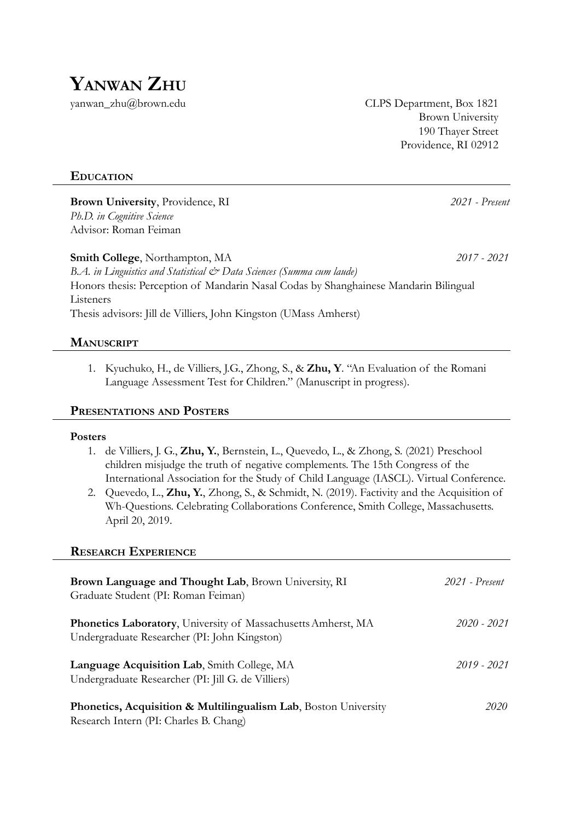

yanwan\_zhu@brown.edu CLPS Department, Box 1821 Brown University 190 Thayer Street Providence, RI 02912

## **EDUCATION**

**Brown University**, Providence, RI *2021 - Present Ph.D. in Cognitive Science* Advisor: Roman Feiman

**Smith College**, Northampton, MA *2017 - 2021 B.A. in Linguistics and Statistical & Data Sciences (Summa cum laude)* Honors thesis: Perception of Mandarin Nasal Codas by Shanghainese Mandarin Bilingual Listeners Thesis advisors: Jill de Villiers, John Kingston (UMass Amherst)

## **MANUSCRIPT**

1. Kyuchuko, H., de Villiers, J.G., Zhong, S., & **Zhu, Y**. "An Evaluation of the Romani Language Assessment Test for Children." (Manuscript in progress).

### **PRESENTATIONS AND POSTERS**

#### **Posters**

- 1. de Villiers, J. G., **Zhu, Y.**, Bernstein, L., Quevedo, L., & Zhong, S. (2021) Preschool children misjudge the truth of negative complements. The 15th Congress of the International Association for the Study of Child Language (IASCL). Virtual Conference.
- 2. Quevedo, L., **Zhu, Y.**, Zhong, S., & Schmidt, N. (2019). Factivity and the Acquisition of Wh-Questions. Celebrating Collaborations Conference, Smith College, Massachusetts. April 20, 2019.

#### **RESEARCH EXPERIENCE**

| Brown Language and Thought Lab, Brown University, RI<br>Graduate Student (PI: Roman Feiman)                          | 2021 - Present |
|----------------------------------------------------------------------------------------------------------------------|----------------|
| <b>Phonetics Laboratory, University of Massachusetts Amherst, MA</b><br>Undergraduate Researcher (PI: John Kingston) | 2020 - 2021    |
| Language Acquisition Lab, Smith College, MA<br>Undergraduate Researcher (PI: Jill G. de Villiers)                    | $2019 - 2021$  |
| Phonetics, Acquisition & Multilingualism Lab, Boston University<br>Research Intern (PI: Charles B. Chang)            | 2020           |